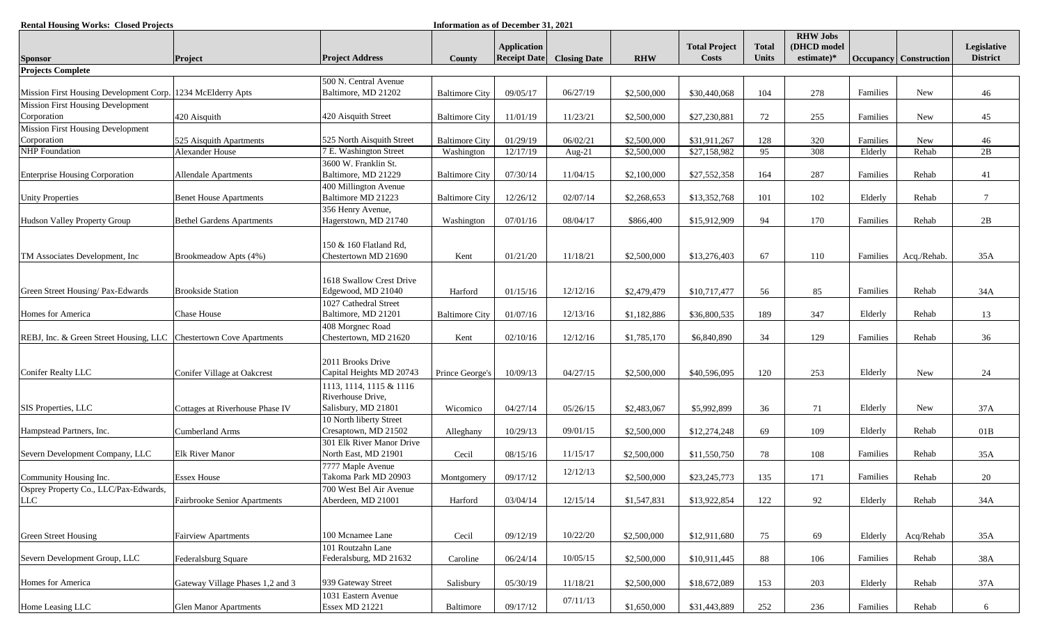| <b>Rental Housing Works: Closed Projects</b>                       |                                  |                                                                          | Information as of December 31, 2021 |                                           |                     |             |                                      |                              |                                                 |          |                               |                                |
|--------------------------------------------------------------------|----------------------------------|--------------------------------------------------------------------------|-------------------------------------|-------------------------------------------|---------------------|-------------|--------------------------------------|------------------------------|-------------------------------------------------|----------|-------------------------------|--------------------------------|
| <b>Sponsor</b>                                                     | <b>Project</b>                   | <b>Project Address</b>                                                   | County                              | <b>Application</b><br><b>Receipt Date</b> | <b>Closing Date</b> | <b>RHW</b>  | <b>Total Project</b><br><b>Costs</b> | <b>Total</b><br><b>Units</b> | <b>RHW Jobs</b><br>(DHCD model<br>estimate $)*$ |          | <b>Occupancy</b> Construction | Legislative<br><b>District</b> |
| <b>Projects Complete</b>                                           |                                  |                                                                          |                                     |                                           |                     |             |                                      |                              |                                                 |          |                               |                                |
| Mission First Housing Development Corp. 1234 McElderry Apts        |                                  | 500 N. Central Avenue<br>Baltimore, MD 21202                             | <b>Baltimore City</b>               | 09/05/17                                  | 06/27/19            | \$2,500,000 | \$30,440,068                         | 104                          | 278                                             | Families | <b>New</b>                    | 46                             |
| Mission First Housing Development<br>Corporation                   | 420 Aisquith                     | 420 Aisquith Street                                                      | <b>Baltimore City</b>               | 11/01/19                                  | 11/23/21            | \$2,500,000 | \$27,230,881                         | 72                           | 255                                             | Families | New                           | 45                             |
| <b>Mission First Housing Development</b><br>Corporation            | 525 Aisquith Apartments          | 525 North Aisquith Street                                                | <b>Baltimore City</b>               | 01/29/19                                  | 06/02/21            | \$2,500,000 | \$31,911,267                         | 128                          | 320                                             | Families | New                           | 46                             |
| <b>NHP</b> Foundation                                              | Alexander House                  | 7 E. Washington Street                                                   | Washington                          | 12/17/19                                  | Aug-21              | \$2,500,000 | \$27,158,982                         | 95                           | 308                                             | Elderly  | Rehab                         | 2B                             |
|                                                                    |                                  | 3600 W. Franklin St.                                                     |                                     |                                           |                     |             |                                      |                              |                                                 |          |                               |                                |
| <b>Enterprise Housing Corporation</b>                              | <b>Allendale Apartments</b>      | Baltimore, MD 21229                                                      | <b>Baltimore City</b>               | 07/30/14                                  | 11/04/15            | \$2,100,000 | \$27,552,358                         | 164                          | 287                                             | Families | Rehab                         | 41                             |
| <b>Unity Properties</b>                                            | <b>Benet House Apartments</b>    | 400 Millington Avenue<br>Baltimore MD 21223                              | <b>Baltimore City</b>               | 12/26/12                                  | 02/07/14            | \$2,268,653 | \$13,352,768                         | 101                          | 102                                             | Elderly  | Rehab                         | $\overline{7}$                 |
| Hudson Valley Property Group                                       | <b>Bethel Gardens Apartments</b> | 356 Henry Avenue,<br>Hagerstown, MD 21740                                | Washington                          | 07/01/16                                  | 08/04/17            | \$866,400   | \$15,912,909                         | 94                           | 170                                             | Families | Rehab                         | 2B                             |
| TM Associates Development, Inc.                                    | Brookmeadow Apts (4%)            | 150 & 160 Flatland Rd,<br>Chestertown MD 21690                           | Kent                                | 01/21/20                                  | 11/18/21            | \$2,500,000 | \$13,276,403                         | 67                           | 110                                             | Families | Acq./Rehab.                   | 35A                            |
| Green Street Housing/ Pax-Edwards                                  | <b>Brookside Station</b>         | 1618 Swallow Crest Drive<br>Edgewood, MD 21040                           | Harford                             | 01/15/16                                  | 12/12/16            | \$2,479,479 | \$10,717,477                         | 56                           | 85                                              | Families | Rehab                         | 34A                            |
| Homes for America                                                  | Chase House                      | 1027 Cathedral Street<br>Baltimore, MD 21201                             | <b>Baltimore City</b>               | 01/07/16                                  | 12/13/16            | \$1,182,886 | \$36,800,535                         | 189                          | 347                                             | Elderly  | Rehab                         | 13                             |
| REBJ, Inc. & Green Street Housing, LLC Chestertown Cove Apartments |                                  | 408 Morgnec Road<br>Chestertown, MD 21620                                | Kent                                | 02/10/16                                  | 12/12/16            | \$1,785,170 | \$6,840,890                          | 34                           | 129                                             | Families | Rehab                         | 36                             |
| Conifer Realty LLC                                                 | Conifer Village at Oakcrest      | 2011 Brooks Drive<br>Capital Heights MD 20743<br>1113, 1114, 1115 & 1116 | Prince George's                     | 10/09/13                                  | 04/27/15            | \$2,500,000 | \$40,596,095                         | 120                          | 253                                             | Elderly  | New                           | 24                             |
|                                                                    |                                  | Riverhouse Drive,                                                        |                                     |                                           |                     |             |                                      |                              |                                                 |          |                               |                                |
| SIS Properties, LLC                                                | Cottages at Riverhouse Phase IV  | Salisbury, MD 21801                                                      | Wicomico                            | 04/27/14                                  | 05/26/15            | \$2,483,067 | \$5,992,899                          | 36                           | 71                                              | Elderly  | New                           | 37A                            |
| Hampstead Partners, Inc.                                           | <b>Cumberland Arms</b>           | 10 North liberty Street<br>Cresaptown, MD 21502                          | Alleghany                           | 10/29/13                                  | 09/01/15            | \$2,500,000 | \$12,274,248                         | 69                           | 109                                             | Elderly  | Rehab                         | 01B                            |
| Severn Development Company, LLC                                    | <b>Elk River Manor</b>           | 301 Elk River Manor Drive<br>North East, MD 21901                        | Cecil                               | 08/15/16                                  | 11/15/17            | \$2,500,000 | \$11,550,750                         | 78                           | 108                                             | Families | Rehab                         | 35A                            |
| Community Housing Inc.                                             | <b>Essex House</b>               | 7777 Maple Avenue<br>Takoma Park MD 20903                                | Montgomery                          | 09/17/12                                  | 12/12/13            | \$2,500,000 | \$23,245,773                         | 135                          | 171                                             | Families | Rehab                         | 20                             |
| Osprey Property Co., LLC/Pax-Edwards,<br>LLC                       | Fairbrooke Senior Apartments     | 700 West Bel Air Avenue<br>Aberdeen, MD 21001                            | Harford                             | 03/04/14                                  | 12/15/14            | \$1,547,831 | \$13,922,854                         | 122                          | 92                                              | Elderly  | Rehab                         | 34A                            |
|                                                                    |                                  |                                                                          |                                     |                                           |                     |             |                                      |                              |                                                 |          |                               |                                |
| <b>Green Street Housing</b>                                        | <b>Fairview Apartments</b>       | 100 Mcnamee Lane<br>101 Routzahn Lane                                    | Cecil                               | 09/12/19                                  | 10/22/20            | \$2,500,000 | \$12,911,680                         | 75                           | 69                                              | Elderly  | Acq/Rehab                     | 35A                            |
| Severn Development Group, LLC                                      | Federalsburg Square              | Federalsburg, MD 21632                                                   | Caroline                            | 06/24/14                                  | 10/05/15            | \$2,500,000 | \$10,911,445                         | 88                           | 106                                             | Families | Rehab                         | 38A                            |
| Homes for America                                                  | Gateway Village Phases 1,2 and 3 | 939 Gateway Street                                                       | Salisbury                           | 05/30/19                                  | 11/18/21            | \$2,500,000 | \$18,672,089                         | 153                          | 203                                             | Elderly  | Rehab                         | 37A                            |
| Home Leasing LLC                                                   | <b>Glen Manor Apartments</b>     | 1031 Eastern Avenue<br><b>Essex MD 21221</b>                             | Baltimore                           | 09/17/12                                  | 07/11/13            | \$1,650,000 | \$31,443,889                         | 252                          | 236                                             | Families | Rehab                         | 6                              |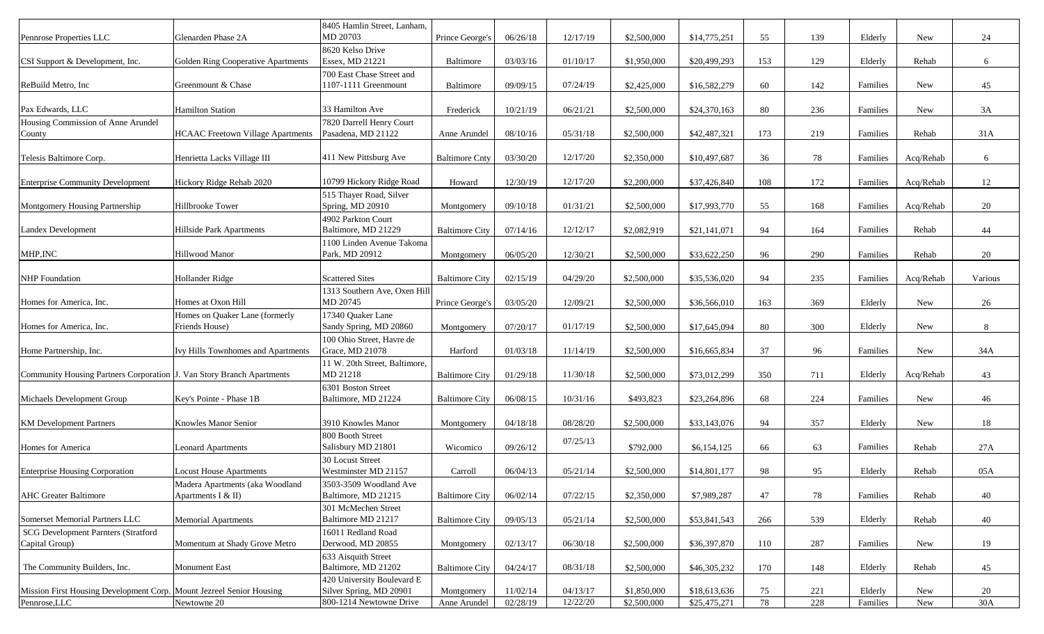| Pennrose Properties LLC                                               | Glenarden Phase 2A                                    | 8405 Hamlin Street, Lanham,<br>MD 20703               | Prince George's       | 06/26/18 | 12/17/19 | \$2,500,000 | \$14,775,251 | 55  | 139 | Elderly  | <b>New</b> | 24      |
|-----------------------------------------------------------------------|-------------------------------------------------------|-------------------------------------------------------|-----------------------|----------|----------|-------------|--------------|-----|-----|----------|------------|---------|
| CSI Support & Development, Inc.                                       | Golden Ring Cooperative Apartments                    | 8620 Kelso Drive<br>Essex, MD 21221                   | <b>Baltimore</b>      | 03/03/16 | 01/10/17 | \$1,950,000 | \$20,499,293 | 153 | 129 | Elderly  | Rehab      | 6       |
| ReBuild Metro, Inc.                                                   | Greenmount & Chase                                    | 700 East Chase Street and<br>1107-1111 Greenmount     | Baltimore             | 09/09/15 | 07/24/19 | \$2,425,000 | \$16,582,279 | 60  | 142 | Families | New        | 45      |
| Pax Edwards, LLC                                                      | <b>Hamilton Station</b>                               | 33 Hamilton Ave                                       | Frederick             | 10/21/19 | 06/21/21 | \$2,500,000 | \$24,370,163 | 80  | 236 | Families | New        | 3A      |
| Housing Commission of Anne Arundel                                    | <b>HCAAC</b> Freetown Village Apartments              | 7820 Darrell Henry Court                              |                       |          |          |             |              |     |     |          | Rehab      |         |
| County                                                                |                                                       | Pasadena, MD 21122                                    | Anne Arundel          | 08/10/16 | 05/31/18 | \$2,500,000 | \$42,487,321 | 173 | 219 | Families |            | 31A     |
| Telesis Baltimore Corp.                                               | Henrietta Lacks Village III                           | 411 New Pittsburg Ave                                 | <b>Baltimore Cnty</b> | 03/30/20 | 12/17/20 | \$2,350,000 | \$10,497,687 | 36  | 78  | Families | Acq/Rehab  | 6       |
| <b>Enterprise Community Development</b>                               | Hickory Ridge Rehab 2020                              | 10799 Hickory Ridge Road                              | Howard                | 12/30/19 | 12/17/20 | \$2,200,000 | \$37,426,840 | 108 | 172 | Families | Acq/Rehab  | 12      |
|                                                                       |                                                       | 515 Thayer Road, Silver<br>Spring, MD 20910           |                       |          |          |             |              |     |     |          |            |         |
| Montgomery Housing Partnership                                        | Hillbrooke Tower                                      | 4902 Parkton Court                                    | Montgomery            | 09/10/18 | 01/31/21 | \$2,500,000 | \$17,993,770 | 55  | 168 | Families | Acq/Rehab  | 20      |
| Landex Development                                                    | Hillside Park Apartments                              | Baltimore, MD 21229                                   | <b>Baltimore City</b> | 07/14/16 | 12/12/17 | \$2,082,919 | \$21,141,071 | 94  | 164 | Families | Rehab      | 44      |
| MHP, INC                                                              | Hillwood Manor                                        | 1100 Linden Avenue Takoma<br>Park, MD 20912           | Montgomery            | 06/05/20 | 12/30/21 | \$2,500,000 | \$33,622,250 | 96  | 290 | Families | Rehab      | 20      |
| <b>NHP</b> Foundation                                                 | Hollander Ridge                                       | <b>Scattered Sites</b>                                | <b>Baltimore City</b> | 02/15/19 | 04/29/20 | \$2,500,000 | \$35,536,020 | 94  | 235 | Families | Acq/Rehab  | Various |
| Homes for America, Inc.                                               | Homes at Oxon Hill                                    | 1313 Southern Ave, Oxen Hill<br>MD 20745              | Prince George's       | 03/05/20 | 12/09/21 | \$2,500,000 | \$36,566,010 | 163 | 369 | Elderly  | New        | 26      |
| Homes for America, Inc.                                               | Homes on Quaker Lane (formerly<br>Friends House)      | 17340 Quaker Lane<br>Sandy Spring, MD 20860           | Montgomery            | 07/20/17 | 01/17/19 | \$2,500,000 | \$17,645,094 | 80  | 300 | Elderly  | New        | 8       |
| Home Partnership, Inc.                                                | Ivy Hills Townhomes and Apartments                    | 100 Ohio Street, Havre de<br>Grace, MD 21078          | Harford               | 01/03/18 | 11/14/19 | \$2,500,000 | \$16,665,834 | 37  | 96  | Families | New        | 34A     |
| Community Housing Partners Corporation J. Van Story Branch Apartments |                                                       | 11 W. 20th Street, Baltimore,<br>MD 21218             | <b>Baltimore City</b> | 01/29/18 | 11/30/18 | \$2,500,000 | \$73,012,299 | 350 | 711 | Elderly  | Acq/Rehab  | 43      |
| Michaels Development Group                                            | Key's Pointe - Phase 1B                               | 6301 Boston Street<br>Baltimore, MD 21224             | <b>Baltimore City</b> | 06/08/15 | 10/31/16 | \$493,823   | \$23,264,896 | 68  | 224 | Families | New        | 46      |
| <b>KM</b> Development Partners                                        | Knowles Manor Senior                                  | 3910 Knowles Manor                                    | Montgomery            | 04/18/18 | 08/28/20 | \$2,500,000 | \$33,143,076 | 94  | 357 | Elderly  | New        | 18      |
| Homes for America                                                     | <b>Leonard Apartments</b>                             | 800 Booth Street<br>Salisbury MD 21801                | Wicomico              | 09/26/12 | 07/25/13 | \$792,000   | \$6,154,125  | 66  | 63  | Families | Rehab      | 27A     |
| <b>Enterprise Housing Corporation</b>                                 | <b>Locust House Apartments</b>                        | 30 Locust Street<br>Westminster MD 21157              | Carroll               | 06/04/13 | 05/21/14 | \$2,500,000 | \$14,801,177 | 98  | 95  | Elderly  | Rehab      | 05A     |
| <b>AHC</b> Greater Baltimore                                          | Madera Apartments (aka Woodland<br>Apartments I & II) | 3503-3509 Woodland Ave<br>Baltimore, MD 21215         | <b>Baltimore City</b> | 06/02/14 | 07/22/15 | \$2,350,000 | \$7,989,287  | 47  | 78  | Families | Rehab      | 40      |
| Somerset Memorial Partners LLC                                        | <b>Memorial Apartments</b>                            | 301 McMechen Street<br>Baltimore MD 21217             | <b>Baltimore City</b> | 09/05/13 | 05/21/14 | \$2,500,000 | \$53,841,543 | 266 | 539 | Elderly  | Rehab      | 40      |
| SCG Development Parnters (Stratford<br>Capital Group)                 | Momentum at Shady Grove Metro                         | 16011 Redland Road<br>Derwood, MD 20855               | Montgomery            | 02/13/17 | 06/30/18 | \$2,500,000 | \$36,397,870 | 110 | 287 | Families | New        | 19      |
| The Community Builders, Inc.                                          | <b>Monument East</b>                                  | 633 Aisquith Street<br>Baltimore, MD 21202            | <b>Baltimore City</b> | 04/24/17 | 08/31/18 | \$2,500,000 | \$46,305,232 | 170 | 148 | Elderly  | Rehab      | 45      |
| Mission First Housing Development Corp. Mount Jezreel Senior Housing  |                                                       | 420 University Boulevard E<br>Silver Spring, MD 20901 | Montgomery            | 11/02/14 | 04/13/17 | \$1,850,000 | \$18,613,636 | 75  | 221 | Elderly  | New        | 20      |
| Pennrose, $LLC$                                                       | Newtowne 20                                           | 800-1214 Newtowne Drive                               | Anne Arundel          | 02/28/19 | 12/22/20 | \$2,500,000 | \$25,475,271 | 78  | 228 | Families | New        | 30A     |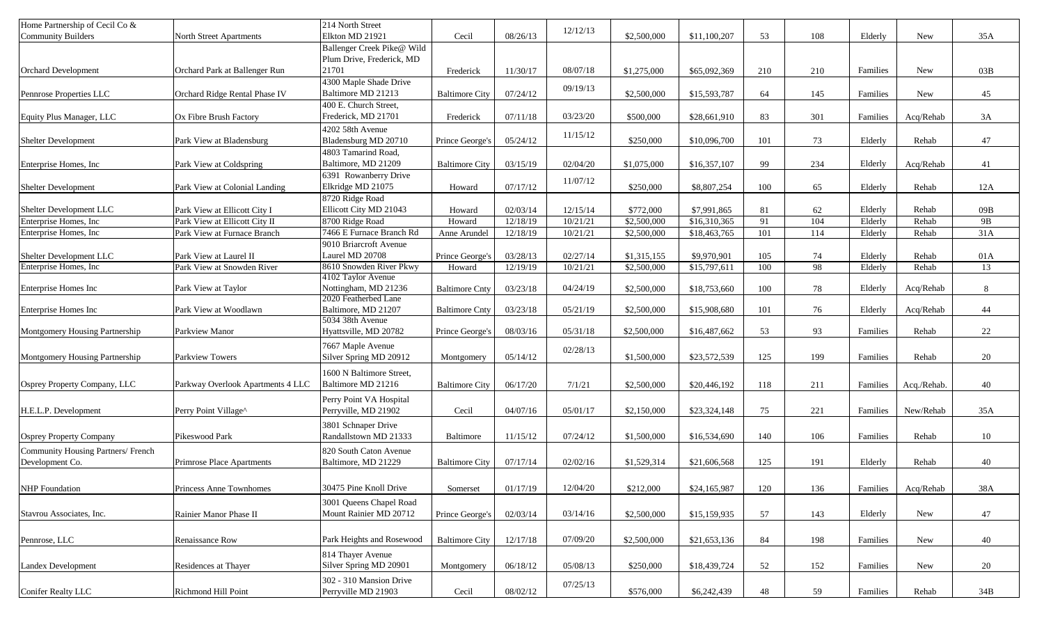| Home Partnership of Cecil Co &     |                                   | 214 North Street<br>Elkton MD 21921                     |                       |          | 12/12/13 |             |              |     |     |          |             |     |
|------------------------------------|-----------------------------------|---------------------------------------------------------|-----------------------|----------|----------|-------------|--------------|-----|-----|----------|-------------|-----|
| <b>Community Builders</b>          | North Street Apartments           |                                                         | Cecil                 | 08/26/13 |          | \$2,500,000 | \$11,100,207 | 53  | 108 | Elderly  | New         | 35A |
|                                    |                                   | Ballenger Creek Pike@ Wild<br>Plum Drive, Frederick, MD |                       |          |          |             |              |     |     |          |             |     |
| <b>Orchard Development</b>         | Orchard Park at Ballenger Run     | 21701                                                   | Frederick             | 11/30/17 | 08/07/18 | \$1,275,000 | \$65,092,369 | 210 | 210 | Families | <b>New</b>  | 03B |
|                                    |                                   | 4300 Maple Shade Drive                                  |                       |          |          |             |              |     |     |          |             |     |
| Pennrose Properties LLC            | Orchard Ridge Rental Phase IV     | Baltimore MD 21213                                      | <b>Baltimore City</b> | 07/24/12 | 09/19/13 | \$2,500,000 | \$15,593,787 | 64  | 145 | Families | New         | 45  |
|                                    |                                   | 400 E. Church Street,                                   |                       |          |          |             |              |     |     |          |             |     |
| Equity Plus Manager, LLC           | Ox Fibre Brush Factory            | Frederick, MD 21701                                     | Frederick             | 07/11/18 | 03/23/20 | \$500,000   | \$28,661,910 | 83  | 301 | Families | Acq/Rehab   | 3A  |
|                                    |                                   | 4202 58th Avenue                                        |                       |          |          |             |              |     |     |          |             |     |
| <b>Shelter Development</b>         | Park View at Bladensburg          | Bladensburg MD 20710                                    | Prince George's       | 05/24/12 | 11/15/12 | \$250,000   | \$10,096,700 | 101 | 73  | Elderly  | Rehab       | 47  |
|                                    |                                   | 4803 Tamarind Road,                                     |                       |          |          |             |              |     |     |          |             |     |
| Enterprise Homes, Inc              | Park View at Coldspring           | Baltimore, MD 21209                                     | <b>Baltimore City</b> | 03/15/19 | 02/04/20 | \$1,075,000 | \$16,357,107 | 99  | 234 | Elderly  | Acq/Rehab   | 41  |
|                                    |                                   | 6391 Rowanberry Drive                                   |                       |          |          |             |              |     |     |          |             |     |
| <b>Shelter Development</b>         | Park View at Colonial Landing     | Elkridge MD 21075                                       | Howard                | 07/17/12 | 11/07/12 | \$250,000   | \$8,807,254  | 100 | 65  | Elderly  | Rehab       | 12A |
|                                    |                                   | 8720 Ridge Road                                         |                       |          |          |             |              |     |     |          |             |     |
| Shelter Development LLC            | Park View at Ellicott City I      | Ellicott City MD 21043                                  | Howard                | 02/03/14 | 12/15/14 | \$772,000   | \$7,991,865  | 81  | 62  | Elderly  | Rehab       | 09B |
| Enterprise Homes, Inc              | Park View at Ellicott City II     | 8700 Ridge Road                                         | Howard                | 12/18/19 | 10/21/21 | \$2,500,000 | \$16,310,365 | 91  | 104 | Elderly  | Rehab       | 9B  |
| Enterprise Homes, Inc.             | Park View at Furnace Branch       | 7466 E Furnace Branch Rd                                | Anne Arundel          | 12/18/19 | 10/21/21 | \$2,500,000 | \$18,463,765 | 101 | 114 | Elderly  | Rehab       | 31A |
|                                    |                                   | 9010 Briarcroft Avenue                                  |                       |          |          |             |              |     |     |          |             |     |
| Shelter Development LLC            | Park View at Laurel II            | Laurel MD 20708                                         | Prince George's       | 03/28/13 | 02/27/14 | \$1,315,155 | \$9,970,901  | 105 | 74  | Elderly  | Rehab       | 01A |
| Enterprise Homes, Inc              | Park View at Snowden River        | 8610 Snowden River Pkwy                                 | Howard                | 12/19/19 | 10/21/21 | \$2,500,000 | \$15,797,611 | 100 | 98  | Elderly  | Rehab       | 13  |
|                                    |                                   | 4102 Taylor Avenue                                      |                       |          |          |             |              |     |     |          |             |     |
| Enterprise Homes Inc               | Park View at Taylor               | Nottingham, MD 21236                                    | <b>Baltimore Cnty</b> | 03/23/18 | 04/24/19 | \$2,500,000 | \$18,753,660 | 100 | 78  | Elderly  | Acq/Rehab   | 8   |
|                                    |                                   | 2020 Featherbed Lane                                    |                       |          |          |             |              |     |     |          |             |     |
| Enterprise Homes Inc               | Park View at Woodlawn             | Baltimore, MD 21207                                     | <b>Baltimore Cnty</b> | 03/23/18 | 05/21/19 | \$2,500,000 | \$15,908,680 | 101 | 76  | Elderly  | Acq/Rehab   | 44  |
|                                    |                                   | 5034 38th Avenue                                        |                       |          |          |             |              |     |     |          |             |     |
| Montgomery Housing Partnership     | Parkview Manor                    | Hyattsville, MD 20782                                   | Prince George's       | 08/03/16 | 05/31/18 | \$2,500,000 | \$16,487,662 | 53  | 93  | Families | Rehab       | 22  |
|                                    |                                   | 7667 Maple Avenue                                       |                       |          | 02/28/13 |             |              |     |     |          |             |     |
| Montgomery Housing Partnership     | Parkview Towers                   | Silver Spring MD 20912                                  | Montgomery            | 05/14/12 |          | \$1,500,000 | \$23,572,539 | 125 | 199 | Families | Rehab       | 20  |
|                                    |                                   | 1600 N Baltimore Street,                                |                       |          |          |             |              |     |     |          |             |     |
| Osprey Property Company, LLC       | Parkway Overlook Apartments 4 LLC | Baltimore MD 21216                                      | <b>Baltimore City</b> | 06/17/20 | 7/1/21   | \$2,500,000 | \$20,446,192 | 118 | 211 | Families | Acq./Rehab. | 40  |
|                                    |                                   | Perry Point VA Hospital                                 |                       |          |          |             |              |     |     |          |             |     |
| H.E.L.P. Development               | Perry Point Village^              | Perryville, MD 21902                                    | Cecil                 | 04/07/16 | 05/01/17 | \$2,150,000 | \$23,324,148 | 75  | 221 | Families | New/Rehab   | 35A |
|                                    |                                   | 3801 Schnaper Drive                                     |                       |          |          |             |              |     |     |          |             |     |
| <b>Osprey Property Company</b>     | Pikeswood Park                    | Randallstown MD 21333                                   | Baltimore             | 11/15/12 | 07/24/12 | \$1,500,000 | \$16,534,690 | 140 | 106 | Families | Rehab       | 10  |
|                                    |                                   |                                                         |                       |          |          |             |              |     |     |          |             |     |
| Community Housing Partners/ French |                                   | 820 South Caton Avenue                                  |                       |          |          |             |              |     |     |          |             |     |
| Development Co.                    | <b>Primrose Place Apartments</b>  | Baltimore, MD 21229                                     | <b>Baltimore City</b> | 07/17/14 | 02/02/16 | \$1,529,314 | \$21,606,568 | 125 | 191 | Elderly  | Rehab       | 40  |
|                                    |                                   |                                                         |                       |          |          |             |              |     |     |          |             |     |
| <b>NHP</b> Foundation              | Princess Anne Townhomes           | 30475 Pine Knoll Drive                                  | Somerset              | 01/17/19 | 12/04/20 | \$212,000   | \$24,165,987 | 120 | 136 | Families | Acq/Rehab   | 38A |
|                                    |                                   | 3001 Queens Chapel Road                                 |                       |          |          |             |              |     |     |          |             |     |
| Stavrou Associates, Inc.           | Rainier Manor Phase II            | Mount Rainier MD 20712                                  | Prince George's       | 02/03/14 | 03/14/16 | \$2,500,000 | \$15,159,935 | 57  | 143 | Elderly  | New         | 47  |
|                                    |                                   |                                                         |                       |          |          |             |              |     |     |          |             |     |
| Pennrose, LLC                      | Renaissance Row                   | Park Heights and Rosewood                               | <b>Baltimore City</b> | 12/17/18 | 07/09/20 | \$2,500,000 | \$21,653,136 | 84  | 198 | Families | New         | 40  |
|                                    |                                   | 814 Thayer Avenue                                       |                       |          |          |             |              |     |     |          |             |     |
| <b>Landex Development</b>          | Residences at Thayer              | Silver Spring MD 20901                                  | Montgomery            | 06/18/12 | 05/08/13 | \$250,000   | \$18,439,724 | 52  | 152 | Families | New         | 20  |
|                                    |                                   | 302 - 310 Mansion Drive                                 |                       |          |          |             |              |     |     |          |             |     |
|                                    |                                   | Perryville MD 21903                                     |                       |          | 07/25/13 |             | \$6,242,439  |     |     |          |             |     |
| Conifer Realty LLC                 | Richmond Hill Point               |                                                         | Cecil                 | 08/02/12 |          | \$576,000   |              | 48  | 59  | Families | Rehab       | 34B |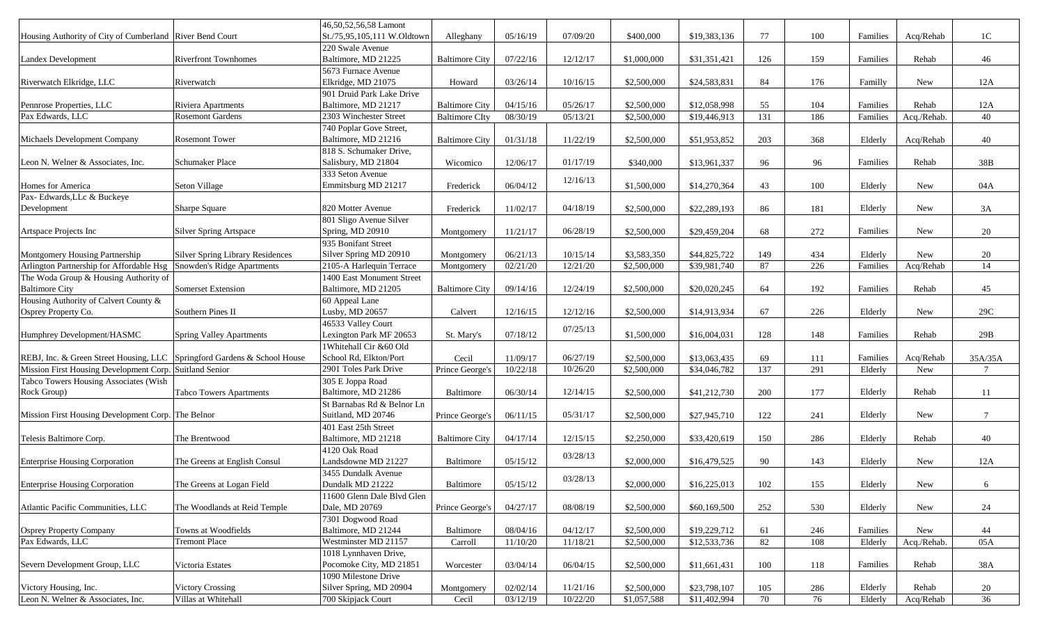|                                                                          |                                         | 46,50,52,56,58 Lamont       |                       |          |          |             |              |     |            |          |             |                 |
|--------------------------------------------------------------------------|-----------------------------------------|-----------------------------|-----------------------|----------|----------|-------------|--------------|-----|------------|----------|-------------|-----------------|
| Housing Authority of City of Cumberland River Bend Court                 |                                         | St./75,95,105,111 W.Oldtown | Alleghany             | 05/16/19 | 07/09/20 | \$400,000   | \$19,383,136 | 77  | 100        | Families | Acq/Rehab   | 1 <sup>C</sup>  |
|                                                                          |                                         | 220 Swale Avenue            |                       |          |          |             |              |     |            |          |             |                 |
| <b>Landex Development</b>                                                | <b>Riverfront Townhomes</b>             | Baltimore, MD 21225         | <b>Baltimore City</b> | 07/22/16 | 12/12/17 | \$1,000,000 | \$31,351,421 | 126 | 159        | Families | Rehab       | 46              |
|                                                                          |                                         | 5673 Furnace Avenue         |                       |          |          |             |              |     |            |          |             |                 |
| Riverwatch Elkridge, LLC                                                 | Riverwatch                              | Elkridge, MD 21075          | Howard                | 03/26/14 | 10/16/15 | \$2,500,000 | \$24,583,831 | 84  | 176        | Familly  | New         | 12A             |
|                                                                          |                                         |                             |                       |          |          |             |              |     |            |          |             |                 |
|                                                                          |                                         | 901 Druid Park Lake Drive   |                       |          |          |             |              |     |            | Families |             |                 |
| Pennrose Properties, LLC                                                 | <b>Riviera Apartments</b>               | Baltimore, MD 21217         | <b>Baltimore City</b> | 04/15/16 | 05/26/17 | \$2,500,000 | \$12,058,998 | 55  | 104        |          | Rehab       | 12A             |
| Pax Edwards, LLC                                                         | <b>Rosemont Gardens</b>                 | 2303 Winchester Street      | <b>Baltimore CIty</b> | 08/30/19 | 05/13/21 | \$2,500,000 | \$19,446,913 | 131 | 186        | Families | Acq./Rehab. | 40              |
|                                                                          |                                         | 740 Poplar Gove Street,     |                       |          |          |             |              |     |            |          |             |                 |
| Michaels Development Company                                             | <b>Rosemont Tower</b>                   | Baltimore, MD 21216         | <b>Baltimore City</b> | 01/31/18 | 11/22/19 | \$2,500,000 | \$51,953,852 | 203 | 368        | Elderly  | Acq/Rehab   | 40              |
|                                                                          |                                         | 818 S. Schumaker Drive,     |                       |          |          |             |              |     |            |          |             |                 |
| Leon N. Welner & Associates, Inc.                                        | Schumaker Place                         | Salisbury, MD 21804         | Wicomico              | 12/06/17 | 01/17/19 | \$340,000   | \$13,961,337 | 96  | 96         | Families | Rehab       | 38B             |
|                                                                          |                                         | 333 Seton Avenue            |                       |          | 12/16/13 |             |              |     |            |          |             |                 |
| Homes for America                                                        | Seton Village                           | Emmitsburg MD 21217         | Frederick             | 06/04/12 |          | \$1,500,000 | \$14,270,364 | 43  | 100        | Elderly  | New         | 04A             |
| Pax- Edwards, LLc & Buckeye                                              |                                         |                             |                       |          |          |             |              |     |            |          |             |                 |
| Development                                                              | Sharpe Square                           | 820 Motter Avenue           | Frederick             | 11/02/17 | 04/18/19 | \$2,500,000 | \$22,289,193 | 86  | 181        | Elderly  | New         | 3A              |
|                                                                          |                                         | 801 Sligo Avenue Silver     |                       |          |          |             |              |     |            |          |             |                 |
| Artspace Projects Inc                                                    | <b>Silver Spring Artspace</b>           | Spring, MD 20910            | Montgomery            | 11/21/17 | 06/28/19 | \$2,500,000 | \$29,459,204 | 68  | 272        | Families | New         | 20              |
|                                                                          |                                         | 935 Bonifant Street         |                       |          |          |             |              |     |            |          |             |                 |
| Montgomery Housing Partnership                                           | <b>Silver Spring Library Residences</b> | Silver Spring MD 20910      | Montgomery            | 06/21/13 | 10/15/14 | \$3,583,350 | \$44,825,722 | 149 | 434        | Elderly  | <b>New</b>  | 20              |
| Arlington Partnership for Affordable Hsg                                 | Snowden's Ridge Apartments              | 2105-A Harlequin Terrace    | Montgomery            | 02/21/20 | 12/21/20 | \$2,500,000 | \$39,981,740 | 87  | 226        | Families | Acq/Rehab   | 14              |
| The Woda Group & Housing Authority of                                    |                                         | 1400 East Monument Street   |                       |          |          |             |              |     |            |          |             |                 |
| <b>Baltimore City</b>                                                    | Somerset Extension                      | Baltimore, MD 21205         | <b>Baltimore City</b> | 09/14/16 | 12/24/19 | \$2,500,000 | \$20,020,245 | 64  | 192        | Families | Rehab       | 45              |
| Housing Authority of Calvert County &                                    |                                         | 60 Appeal Lane              |                       |          |          |             |              |     |            |          |             |                 |
| Osprey Property Co.                                                      | Southern Pines II                       | Lusby, MD 20657             | Calvert               | 12/16/15 | 12/12/16 | \$2,500,000 | \$14,913,934 | 67  | 226        | Elderly  | New         | 29C             |
|                                                                          |                                         | 46533 Valley Court          |                       |          |          |             |              |     |            |          |             |                 |
| Humphrey Development/HASMC                                               | <b>Spring Valley Apartments</b>         | Lexington Park MF 20653     | St. Mary's            | 07/18/12 | 07/25/13 | \$1,500,000 | \$16,004,031 | 128 | 148        | Families | Rehab       | 29B             |
|                                                                          |                                         | 1Whitehall Cir &60 Old      |                       |          |          |             |              |     |            |          |             |                 |
| REBJ, Inc. & Green Street Housing, LLC Springford Gardens & School House |                                         | School Rd, Elkton/Port      | Cecil                 | 11/09/17 | 06/27/19 | \$2,500,000 | \$13,063,435 | 69  | 111        | Families | Acq/Rehab   | 35A/35A         |
| Mission First Housing Development Corp. Suitland Senior                  |                                         | 2901 Toles Park Drive       | Prince George's       | 10/22/18 | 10/26/20 | \$2,500,000 | \$34,046,782 | 137 | 291        | Elderly  | New         | $7\overline{ }$ |
| Tabco Towers Housing Associates (Wish                                    |                                         | 305 E Joppa Road            |                       |          |          |             |              |     |            |          |             |                 |
| Rock Group)                                                              | <b>Tabco Towers Apartments</b>          | Baltimore, MD 21286         | Baltimore             | 06/30/14 | 12/14/15 | \$2,500,000 | \$41,212,730 | 200 | 177        | Elderly  | Rehab       | 11              |
|                                                                          |                                         | St Barnabas Rd & Belnor Ln  |                       |          |          |             |              |     |            |          |             |                 |
| Mission First Housing Development Corp. The Belnor                       |                                         | Suitland, MD 20746          | Prince George's       | 06/11/15 | 05/31/17 | \$2,500,000 | \$27,945,710 | 122 | 241        | Elderly  | New         | $\tau$          |
|                                                                          |                                         | 401 East 25th Street        |                       |          |          |             |              |     |            |          |             |                 |
| Telesis Baltimore Corp.                                                  | The Brentwood                           | Baltimore, MD 21218         | <b>Baltimore City</b> | 04/17/14 | 12/15/15 | \$2,250,000 | \$33,420,619 | 150 | 286        | Elderly  | Rehab       | 40              |
|                                                                          |                                         | 4120 Oak Road               |                       |          |          |             |              |     |            |          |             |                 |
| <b>Enterprise Housing Corporation</b>                                    | The Greens at English Consul            | Landsdowne MD 21227         | Baltimore             | 05/15/12 | 03/28/13 | \$2,000,000 | \$16,479,525 | 90  | 143        | Elderly  | <b>New</b>  | 12A             |
|                                                                          |                                         | 3455 Dundalk Avenue         |                       |          |          |             |              |     |            |          |             |                 |
| <b>Enterprise Housing Corporation</b>                                    | The Greens at Logan Field               | Dundalk MD 21222            | <b>Baltimore</b>      | 05/15/12 | 03/28/13 | \$2,000,000 | \$16,225,013 | 102 | 155        | Elderly  | New         | 6               |
|                                                                          |                                         | 11600 Glenn Dale Blvd Glen  |                       |          |          |             |              |     |            |          |             |                 |
| Atlantic Pacific Communities, LLC                                        | The Woodlands at Reid Temple            | Dale, MD 20769              | Prince George's       | 04/27/17 | 08/08/19 | \$2,500,000 | \$60,169,500 | 252 | 530        | Elderly  | New         | 24              |
|                                                                          |                                         | 7301 Dogwood Road           |                       |          |          |             |              |     |            |          |             |                 |
| <b>Osprey Property Company</b>                                           | Towns at Woodfields                     | Baltimore, MD 21244         | Baltimore             | 08/04/16 | 04/12/17 | \$2,500,000 | \$19,229,712 |     |            | Families | New         |                 |
| Pax Edwards, LLC                                                         | <b>Tremont Place</b>                    | Westminster MD 21157        |                       |          |          |             | \$12,533,736 | 61  | 246<br>108 |          | Acq./Rehab. | 44              |
|                                                                          |                                         |                             | Carroll               | 11/10/20 | 11/18/21 | \$2,500,000 |              | 82  |            | Elderly  |             | 05A             |
|                                                                          |                                         | 1018 Lynnhaven Drive,       |                       |          |          |             |              |     |            |          |             |                 |
| Severn Development Group, LLC                                            | Victoria Estates                        | Pocomoke City, MD 21851     | Worcester             | 03/04/14 | 06/04/15 | \$2,500,000 | \$11,661,431 | 100 | 118        | Families | Rehab       | 38A             |
|                                                                          |                                         | 1090 Milestone Drive        |                       |          |          |             |              |     |            |          |             |                 |
| Victory Housing, Inc.                                                    | <b>Victory Crossing</b>                 | Silver Spring, MD 20904     | Montgomery            | 02/02/14 | 11/21/16 | \$2,500,000 | \$23,798,107 | 105 | 286        | Elderly  | Rehab       | 20              |
| Leon N. Welner & Associates, Inc.                                        | Villas at Whitehall                     | 700 Skipjack Court          | Cecil                 | 03/12/19 | 10/22/20 | \$1,057,588 | \$11,402,994 | 70  | 76         | Elderly  | Acq/Rehab   | 36              |